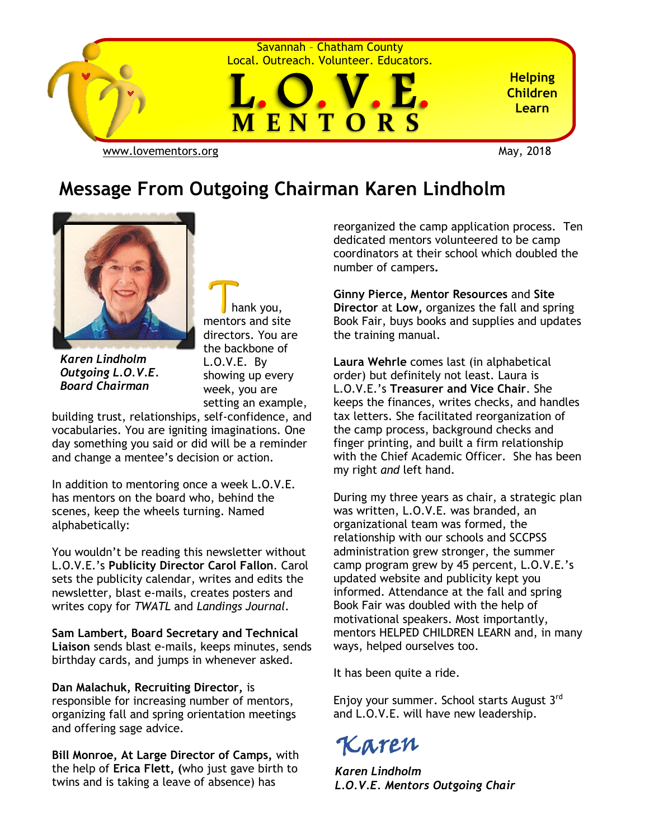

#### **Message From Outgoing Chairman Karen Lindholm**



*Karen Lindholm Outgoing L.O.V.E. Board Chairman*

 hank you, mentors and site directors. You are the backbone of L.O.V.E. By showing up every week, you are setting an example,

building trust, relationships, self-confidence, and vocabularies. You are igniting imaginations. One day something you said or did will be a reminder and change a mentee's decision or action.

In addition to mentoring once a week L.O.V.E. has mentors on the board who, behind the scenes, keep the wheels turning. Named alphabetically:

You wouldn't be reading this newsletter without L.O.V.E.'s **Publicity Director Carol Fallon**. Carol sets the publicity calendar, writes and edits the newsletter, blast e-mails, creates posters and writes copy for *TWATL* and *Landings Journal*.

**Sam Lambert, Board Secretary and Technical Liaison** sends blast e-mails, keeps minutes, sends birthday cards, and jumps in whenever asked.

**Dan Malachuk, Recruiting Director,** is responsible for increasing number of mentors, organizing fall and spring orientation meetings and offering sage advice.

**Bill Monroe, At Large Director of Camps,** with the help of **Erica Flett, (**who just gave birth to twins and is taking a leave of absence) has

reorganized the camp application process. Ten dedicated mentors volunteered to be camp coordinators at their school which doubled the number of campers**.** 

**Ginny Pierce, Mentor Resources** and **Site Director** at **Low,** organizes the fall and spring Book Fair, buys books and supplies and updates the training manual.

**Laura Wehrle** comes last (in alphabetical order) but definitely not least. Laura is L.O.V.E.'s **Treasurer and Vice Chair**. She keeps the finances, writes checks, and handles tax letters. She facilitated reorganization of the camp process, background checks and finger printing, and built a firm relationship with the Chief Academic Officer. She has been my right *and* left hand.

During my three years as chair, a strategic plan was written, L.O.V.E. was branded, an organizational team was formed, the relationship with our schools and SCCPSS administration grew stronger, the summer camp program grew by 45 percent, L.O.V.E.'s updated website and publicity kept you informed. Attendance at the fall and spring Book Fair was doubled with the help of motivational speakers. Most importantly, mentors HELPED CHILDREN LEARN and, in many ways, helped ourselves too.

It has been quite a ride.

Enjoy your summer. School starts August 3rd and L.O.V.E. will have new leadership.

### Karen

*Karen Lindholm L.O.V.E. Mentors Outgoing Chair*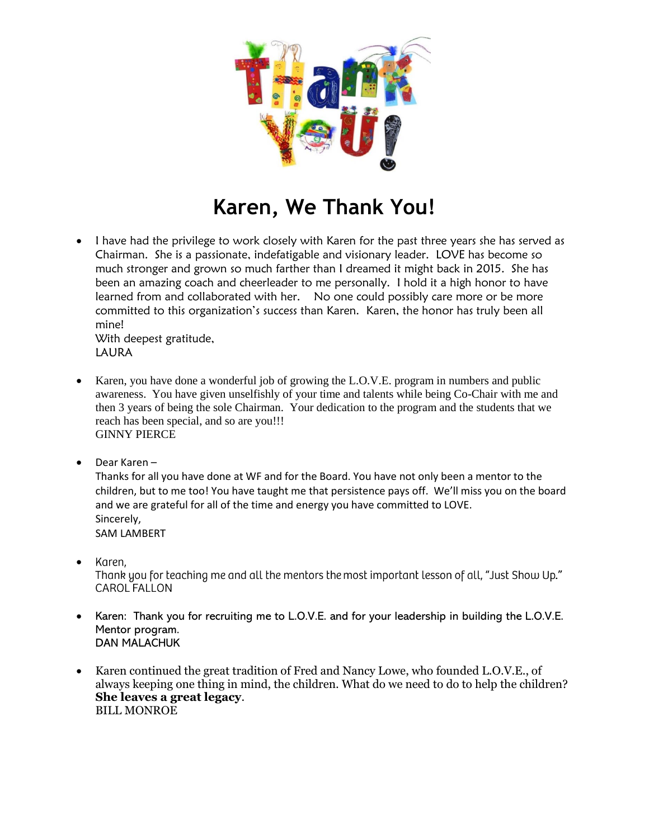

## **Karen, We Thank You!**

• I have had the privilege to work closely with Karen for the past three years she has served as Chairman. She is a passionate, indefatigable and visionary leader. LOVE has become so much stronger and grown so much farther than I dreamed it might back in 2015. She has been an amazing coach and cheerleader to me personally. I hold it a high honor to have learned from and collaborated with her. No one could possibly care more or be more committed to this organization's success than Karen. Karen, the honor has truly been all mine!

With deepest gratitude, LAURA

- Karen, you have done a wonderful job of growing the L.O.V.E. program in numbers and public awareness. You have given unselfishly of your time and talents while being Co-Chair with me and then 3 years of being the sole Chairman. Your dedication to the program and the students that we reach has been special, and so are you!!! GINNY PIERCE
- Dear Karen –

Thanks for all you have done at WF and for the Board. You have not only been a mentor to the children, but to me too! You have taught me that persistence pays off. We'll miss you on the board and we are grateful for all of the time and energy you have committed to LOVE. Sincerely, SAM LAMBERT

- Karen. Thank you for teaching me and all the mentors the most important lesson of all, "Just Show Up." CAROL FALLON
- Karen: Thank you for recruiting me to L.O.V.E. and for your leadership in building the L.O.V.E. Mentor program. DAN MALACHUK
- Karen continued the great tradition of Fred and Nancy Lowe, who founded L.O.V.E., of always keeping one thing in mind, the children. What do we need to do to help the children? **She leaves a great legacy**. BILL MONROE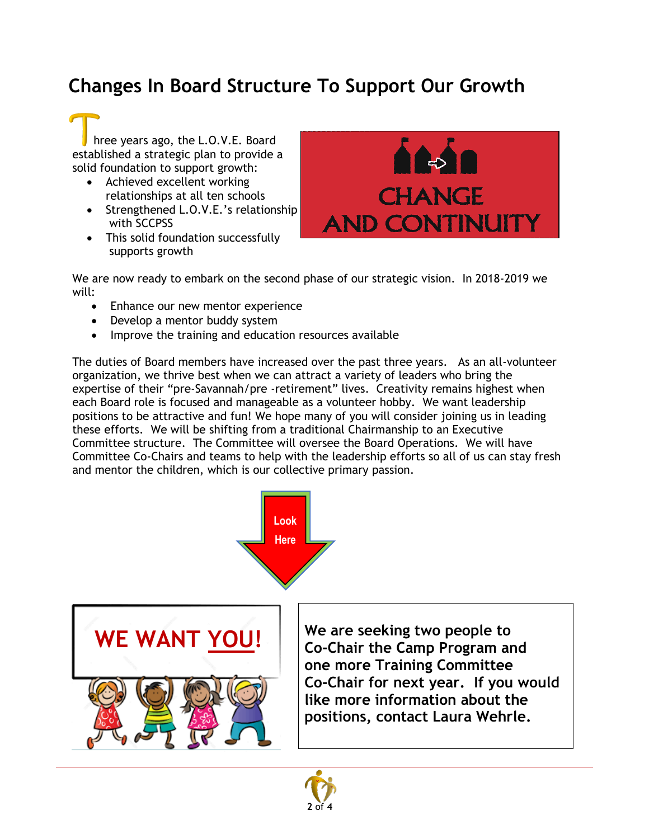#### **Changes In Board Structure To Support Our Growth**

 hree years ago, the L.O.V.E. Board established a strategic plan to provide a solid foundation to support growth:

- Achieved excellent working relationships at all ten schools
- Strengthened L.O.V.E.'s relationship with SCCPSS
- This solid foundation successfully supports growth



We are now ready to embark on the second phase of our strategic vision. In 2018-2019 we will:

- Enhance our new mentor experience
- Develop a mentor buddy system
- Improve the training and education resources available

The duties of Board members have increased over the past three years. As an all-volunteer organization, we thrive best when we can attract a variety of leaders who bring the expertise of their "pre-Savannah/pre -retirement" lives. Creativity remains highest when each Board role is focused and manageable as a volunteer hobby. We want leadership positions to be attractive and fun! We hope many of you will consider joining us in leading these efforts. We will be shifting from a traditional Chairmanship to an Executive Committee structure. The Committee will oversee the Board Operations. We will have Committee Co-Chairs and teams to help with the leadership efforts so all of us can stay fresh and mentor the children, which is our collective primary passion.





**We are seeking two people to Co-Chair the Camp Program and one more Training Committee Co-Chair for next year. If you would like more information about the positions, contact Laura Wehrle.**

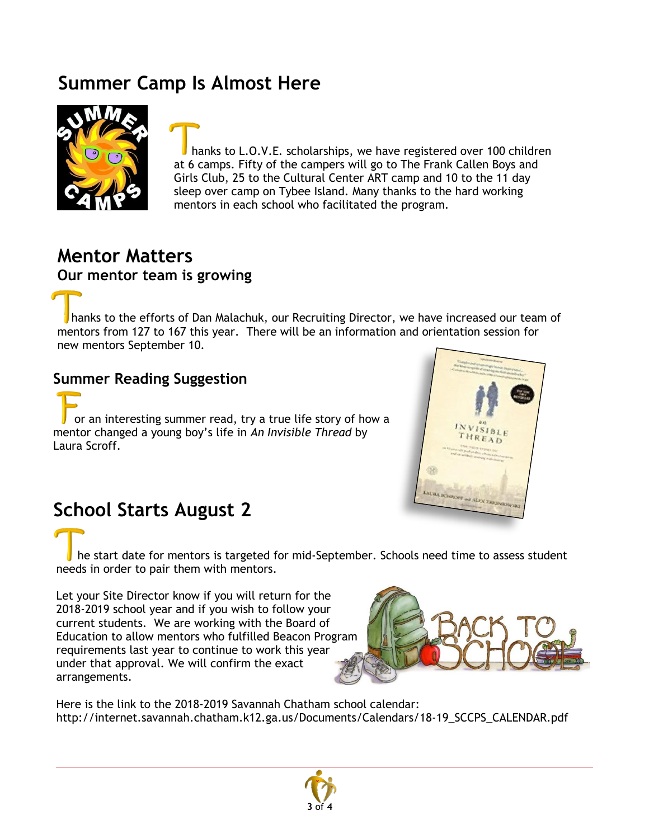#### **Summer Camp Is Almost Here**



 hanks to L.O.V.E. scholarships, we have registered over 100 children at 6 camps. Fifty of the campers will go to The Frank Callen Boys and Girls Club, 25 to the Cultural Center ART camp and 10 to the 11 day sleep over camp on Tybee Island. Many thanks to the hard working mentors in each school who facilitated the program.

#### **Mentor Matters Our mentor team is growing**

 hanks to the efforts of Dan Malachuk, our Recruiting Director, we have increased our team of mentors from 127 to 167 this year. There will be an information and orientation session for new mentors September 10.

#### **Summer Reading Suggestion**

 or an interesting summer read, try a true life story of how a mentor changed a young boy's life in *An Invisible Thread* by Laura Scroff.



#### **School Starts August 2**

 he start date for mentors is targeted for mid-September. Schools need time to assess student needs in order to pair them with mentors.

Let your Site Director know if you will return for the 2018-2019 school year and if you wish to follow your current students. We are working with the Board of Education to allow mentors who fulfilled Beacon Program requirements last year to continue to work this year under that approval. We will confirm the exact arrangements.



Here is the link to the 2018-2019 Savannah Chatham school calendar: http://internet.savannah.chatham.k12.ga.us/Documents/Calendars/18-19\_SCCPS\_CALENDAR.pdf